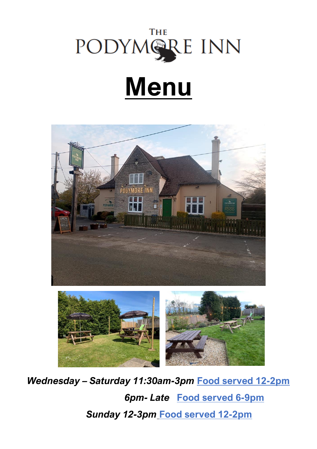

# **Menu**



*Wednesday – Saturday 11:30am-3pm* **Food served 12-2pm**  *6pm- Late* **Food served 6-9pm**  *Sunday 12-3pm* **Food served 12-2pm**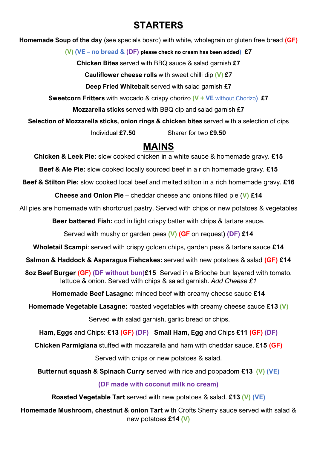### **STARTERS**

**Homemade Soup of the day** (see specials board) with white, wholegrain or gluten free bread **(GF)** 

**(V) (VE – no bread & (DF) please check no cream has been added) £7**

**Chicken Bites** served with BBQ sauce & salad garnish **£7**

**Cauliflower cheese rolls** with sweet chilli dip **(V) £7**

**Deep Fried Whitebait** served with salad garnish **£7**

**Sweetcorn Fritters** with avocado & crispy chorizo **(V + VE** without Chorizo**) £7**

**Mozzarella sticks** served with BBQ dip and salad garnish **£7**

**Selection of Mozzarella sticks, onion rings & chicken bites** served with a selection of dips

Individual **£7.50** Sharer for two **£9.50**

#### **MAINS**

**Chicken & Leek Pie:** slow cooked chicken in a white sauce & homemade gravy. **£15**

**Beef & Ale Pie:** slow cooked locally sourced beef in a rich homemade gravy. **£15**

**Beef & Stilton Pie:** slow cooked local beef and melted stilton in a rich homemade gravy. **£16**

**Cheese and Onion Pie** – cheddar cheese and onions filled pie (**V) £14**

All pies are homemade with shortcrust pastry. Served with chips or new potatoes & vegetables

**Beer battered Fish:** cod in light crispy batter with chips & tartare sauce.

Served with mushy or garden peas **(V) (GF** on request**) (DF) £14**

**Wholetail Scampi**: served with crispy golden chips, garden peas & tartare sauce **£14**

**Salmon & Haddock & Asparagus Fishcakes:** served with new potatoes & salad **(GF) £14**

**8oz Beef Burger (GF) (DF without bun)£15** Served in a Brioche bun layered with tomato, lettuce & onion. Served with chips & salad garnish. *Add Cheese £1*

**Homemade Beef Lasagne**: minced beef with creamy cheese sauce **£14**

**Homemade Vegetable Lasagne:** roasted vegetables with creamy cheese sauce **£13 (V)**

Served with salad garnish, garlic bread or chips.

**Ham, Eggs** and Chips: **£13 (GF) (DF) Small Ham, Egg** and Chips **£11 (GF) (DF)**

**Chicken Parmigiana** stuffed with mozzarella and ham with cheddar sauce. **£15 (GF)**

Served with chips or new potatoes & salad.

**Butternut squash & Spinach Curry** served with rice and poppadom **£13 (V) (VE)** 

**(DF made with coconut milk no cream)**

**Roasted Vegetable Tart** served with new potatoes & salad. **£13 (V) (VE)** 

**Homemade Mushroom, chestnut & onion Tart** with Crofts Sherry sauce served with salad & new potatoes **£14 (V)**